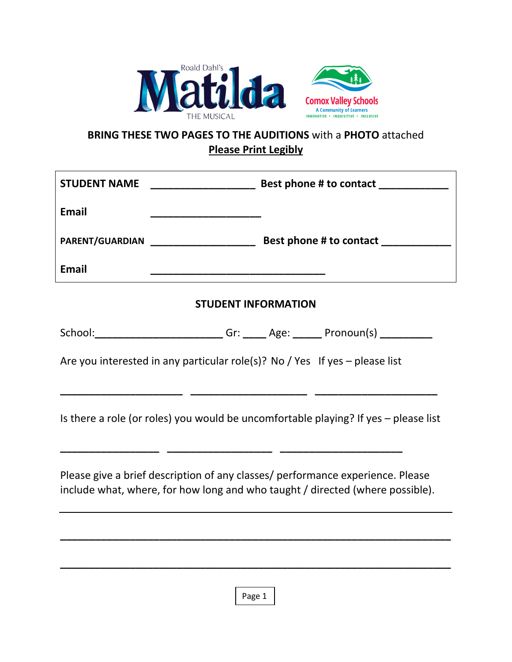

## **BRING THESE TWO PAGES TO THE AUDITIONS** with a **PHOTO** attached **Please Print Legibly**

| <b>STUDENT NAME</b>                                                         |                                                                                                                                                                 |  |  |  |  |
|-----------------------------------------------------------------------------|-----------------------------------------------------------------------------------------------------------------------------------------------------------------|--|--|--|--|
| <b>Email</b>                                                                |                                                                                                                                                                 |  |  |  |  |
|                                                                             |                                                                                                                                                                 |  |  |  |  |
| <b>Email</b>                                                                |                                                                                                                                                                 |  |  |  |  |
| <b>STUDENT INFORMATION</b>                                                  |                                                                                                                                                                 |  |  |  |  |
|                                                                             | School: __________________________Gr: ______ Age: _______ Pronoun(s) ___________                                                                                |  |  |  |  |
| Are you interested in any particular role(s)? No / Yes If yes – please list |                                                                                                                                                                 |  |  |  |  |
|                                                                             | Is there a role (or roles) you would be uncomfortable playing? If yes - please list                                                                             |  |  |  |  |
|                                                                             | Please give a brief description of any classes/ performance experience. Please<br>include what, where, for how long and who taught / directed (where possible). |  |  |  |  |
|                                                                             |                                                                                                                                                                 |  |  |  |  |

Page 1

**\_\_\_\_\_\_\_\_\_\_\_\_\_\_\_\_\_\_\_\_\_\_\_\_\_\_\_\_\_\_\_\_\_\_\_\_\_\_\_\_\_\_\_\_\_\_\_\_\_\_\_\_\_\_\_\_\_\_\_\_\_\_\_\_\_\_\_**